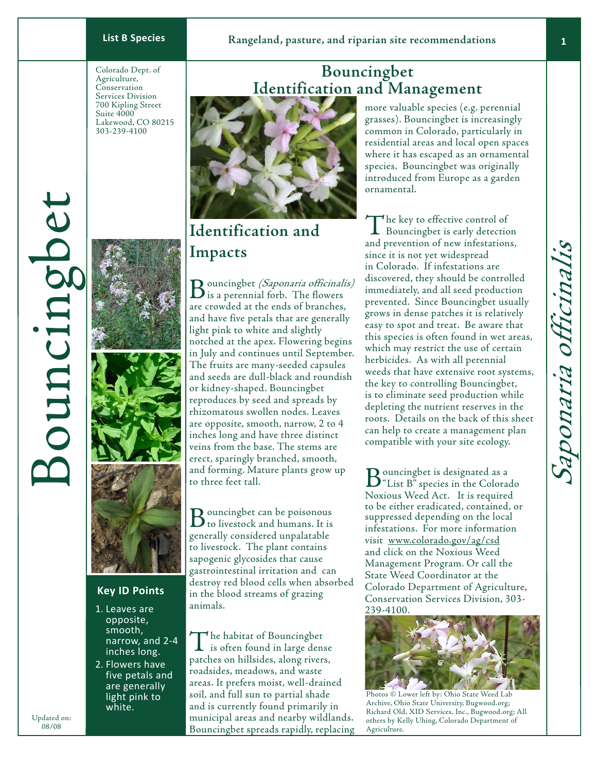Colorado Dept. of Agriculture, Conservation Services Division 700 Kipling Street Suite 4000 Lakewood, CO 80215 303-239-4100



## **Key ID Points**

- 1. Leaves are opposite, smooth, narrow, and 2-4 inches long.
- 2. Flowers have five petals and are generally light pink to white.

# **Bouncingbet Identification and Management**



# **Identification and Impacts**

Bouncingbet *(Saponaria officinalis)*<br>is a perennial forb. The flowers are crowded at the ends of branches, and have five petals that are generally light pink to white and slightly notched at the apex. Flowering begins in July and continues until September. The fruits are many-seeded capsules and seeds are dull-black and roundish or kidney-shaped. Bouncingbet reproduces by seed and spreads by rhizomatous swollen nodes. Leaves are opposite, smooth, narrow, 2 to 4 inches long and have three distinct veins from the base. The stems are erect, sparingly branched, smooth, and forming. Mature plants grow up to three feet tall.

 $B_{{\scriptscriptstyle\rm {to}}}$  duncing bet can be poisonous<br>to livestock and humans. It is generally considered unpalatable to livestock. The plant contains sapogenic glycosides that cause gastrointestinal irritation and can destroy red blood cells when absorbed in the blood streams of grazing animals.

The habitat of Bouncingbet is often found in large dense patches on hillsides, along rivers, roadsides, meadows, and waste areas. It prefers moist, well-drained soil, and full sun to partial shade and is currently found primarily in municipal areas and nearby wildlands. Bouncingbet spreads rapidly, replacing more valuable species (e.g. perennial grasses). Bouncingbet is increasingly common in Colorado, particularly in residential areas and local open spaces where it has escaped as an ornamental species. Bouncingbet was originally introduced from Europe as a garden ornamental.

The key to effective control of<br>Bouncingbet is early detection and prevention of new infestations, since it is not yet widespread in Colorado. If infestations are discovered, they should be controlled immediately, and all seed production prevented. Since Bouncingbet usually grows in dense patches it is relatively easy to spot and treat. Be aware that this species is often found in wet areas, which may restrict the use of certain herbicides. As with all perennial weeds that have extensive root systems, the key to controlling Bouncingbet, is to eliminate seed production while depleting the nutrient reserves in the roots. Details on the back of this sheet can help to create a management plan compatible with your site ecology.

Bouncingbet is designated as a<br>"List B" species in the Colorado Noxious Weed Act. It is required to be either eradicated, contained, or suppressed depending on the local infestations. For more information visit www.colorado.gov/ag/csd and click on the Noxious Weed Management Program. Or call the State Weed Coordinator at the Colorado Department of Agriculture, Conservation Services Division, 303- 239-4100.



Photos © Lower left by: Ohio State Weed Lab Archive, Ohio State University, Bugwood.org; Richard Old, XID Services, Inc., Bugwood.org; All others by Kelly Uhing, Colorado Department of Agriculture.

Updated on: 08/08

ouncingbe